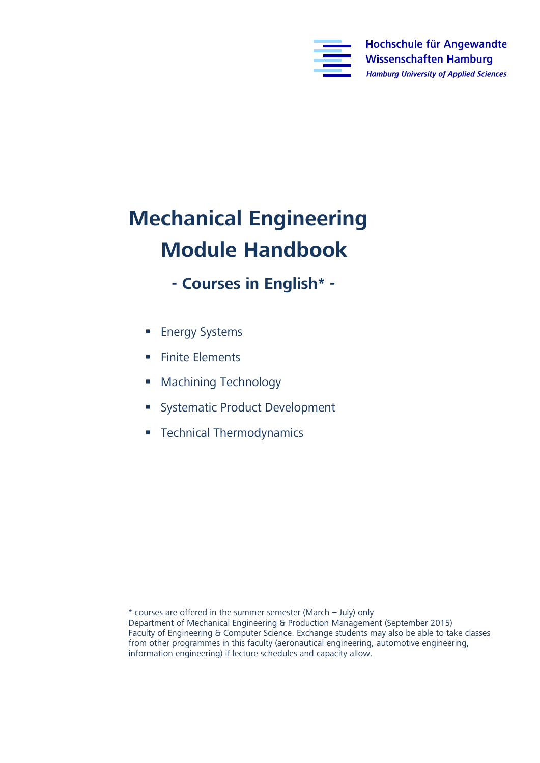

## **Mechanical Engineering**

- **Module Handbook - Courses in English\* -**
	- **Energy Systems**
	- **Finite Elements**
	- **Machining Technology**
	- **Systematic Product Development**
	- **Technical Thermodynamics**

\* courses are offered in the summer semester (March – July) only Faculty of Engineering & Computer Science. Exchange students may also be able to take classes from other programmes in this faculty (aeronautical engineering, automotive engineering,  $f(x)$  from other programmes in this factor programmes in this factor engineering, and capacity allow information engineering) if lecture schedules and capacity allow.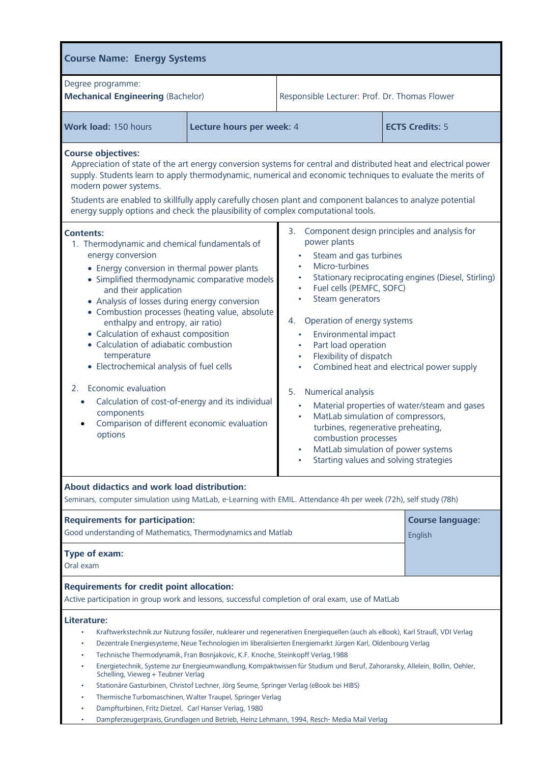| <b>Course Name: Energy Systems</b>                                                                                                                                                                                                                                                                                                                                                                                                                                                                                                                                                                                                                                                                                                                                                                                                                                                                                      |                           |                                                                                                                                                                                                                                                                                                                                                                                                                                                                                                                                                                                                                                                                                                                                                                                                          |                         |  |
|-------------------------------------------------------------------------------------------------------------------------------------------------------------------------------------------------------------------------------------------------------------------------------------------------------------------------------------------------------------------------------------------------------------------------------------------------------------------------------------------------------------------------------------------------------------------------------------------------------------------------------------------------------------------------------------------------------------------------------------------------------------------------------------------------------------------------------------------------------------------------------------------------------------------------|---------------------------|----------------------------------------------------------------------------------------------------------------------------------------------------------------------------------------------------------------------------------------------------------------------------------------------------------------------------------------------------------------------------------------------------------------------------------------------------------------------------------------------------------------------------------------------------------------------------------------------------------------------------------------------------------------------------------------------------------------------------------------------------------------------------------------------------------|-------------------------|--|
| Degree programme:<br><b>Mechanical Engineering (Bachelor)</b>                                                                                                                                                                                                                                                                                                                                                                                                                                                                                                                                                                                                                                                                                                                                                                                                                                                           |                           | Responsible Lecturer: Prof. Dr. Thomas Flower                                                                                                                                                                                                                                                                                                                                                                                                                                                                                                                                                                                                                                                                                                                                                            |                         |  |
| Work load: 150 hours                                                                                                                                                                                                                                                                                                                                                                                                                                                                                                                                                                                                                                                                                                                                                                                                                                                                                                    | Lecture hours per week: 4 |                                                                                                                                                                                                                                                                                                                                                                                                                                                                                                                                                                                                                                                                                                                                                                                                          | <b>ECTS Credits: 5</b>  |  |
| <b>Course objectives:</b><br>modern power systems.<br>Students are enabled to skillfully apply carefully chosen plant and component balances to analyze potential<br>energy supply options and check the plausibility of complex computational tools.<br><b>Contents:</b><br>1. Thermodynamic and chemical fundamentals of<br>energy conversion<br>• Energy conversion in thermal power plants<br>• Simplified thermodynamic comparative models<br>and their application<br>• Analysis of losses during energy conversion<br>• Combustion processes (heating value, absolute<br>enthalpy and entropy, air ratio)<br>• Calculation of exhaust composition<br>• Calculation of adiabatic combustion<br>temperature<br>• Electrochemical analysis of fuel cells<br>Economic evaluation<br>2.<br>Calculation of cost-of-energy and its individual<br>$\bullet$<br>components<br>Comparison of different economic evaluation |                           | Appreciation of state of the art energy conversion systems for central and distributed heat and electrical power<br>supply. Students learn to apply thermodynamic, numerical and economic techniques to evaluate the merits of<br>3. Component design principles and analysis for<br>power plants<br>Steam and gas turbines<br>Micro-turbines<br>Stationary reciprocating engines (Diesel, Stirling)<br>Fuel cells (PEMFC, SOFC)<br>$\bullet$<br>Steam generators<br>4. Operation of energy systems<br>Environmental impact<br>Part load operation<br>Flexibility of dispatch<br>Combined heat and electrical power supply<br>5. Numerical analysis<br>Material properties of water/steam and gases<br>$\bullet$<br>MatLab simulation of compressors,<br>$\bullet$<br>turbines, regenerative preheating, |                         |  |
| options                                                                                                                                                                                                                                                                                                                                                                                                                                                                                                                                                                                                                                                                                                                                                                                                                                                                                                                 |                           | combustion processes<br>MatLab simulation of power systems<br>Starting values and solving strategies                                                                                                                                                                                                                                                                                                                                                                                                                                                                                                                                                                                                                                                                                                     |                         |  |
| About didactics and work load distribution:<br>Seminars, computer simulation using MatLab, e-Learning with EMIL. Attendance 4h per week (72h), self study (78h)                                                                                                                                                                                                                                                                                                                                                                                                                                                                                                                                                                                                                                                                                                                                                         |                           |                                                                                                                                                                                                                                                                                                                                                                                                                                                                                                                                                                                                                                                                                                                                                                                                          |                         |  |
| <b>Requirements for participation:</b>                                                                                                                                                                                                                                                                                                                                                                                                                                                                                                                                                                                                                                                                                                                                                                                                                                                                                  |                           |                                                                                                                                                                                                                                                                                                                                                                                                                                                                                                                                                                                                                                                                                                                                                                                                          | <b>Course language:</b> |  |
| Good understanding of Mathematics, Thermodynamics and Matlab<br>Type of exam:<br>Oral exam                                                                                                                                                                                                                                                                                                                                                                                                                                                                                                                                                                                                                                                                                                                                                                                                                              |                           |                                                                                                                                                                                                                                                                                                                                                                                                                                                                                                                                                                                                                                                                                                                                                                                                          | English                 |  |
| <b>Requirements for credit point allocation:</b><br>Active participation in group work and lessons, successful completion of oral exam, use of MatLab                                                                                                                                                                                                                                                                                                                                                                                                                                                                                                                                                                                                                                                                                                                                                                   |                           |                                                                                                                                                                                                                                                                                                                                                                                                                                                                                                                                                                                                                                                                                                                                                                                                          |                         |  |
| Literature:<br>Kraftwerkstechnik zur Nutzung fossiler, nuklearer und regenerativen Energiequellen (auch als eBook), Karl Strauß, VDI Verlag<br>Dezentrale Energiesysteme, Neue Technologien im liberalisierten Energiemarkt Jürgen Karl, Oldenbourg Verlag<br>Technische Thermodynamik, Fran Bosnjakovic, K.F. Knoche, Steinkopff Verlag, 1988<br>Energietechnik, Systeme zur Energieumwandlung, Kompaktwissen für Studium und Beruf, Zahoransky, Allelein, Bollin, Oehler,<br>Schelling, Vieweg + Teubner Verlag<br>Stationäre Gasturbinen, Christof Lechner, Jörg Seume, Springer Verlag (eBook bei HIBS)<br>Thermische Turbomaschinen, Walter Traupel, Springer Verlag<br>Dampfturbinen, Fritz Dietzel, Carl Hanser Verlag, 1980<br>Dampferzeugerpraxis, Grundlagen und Betrieb, Heinz Lehmann, 1994, Resch- Media Mail Verlag                                                                                       |                           |                                                                                                                                                                                                                                                                                                                                                                                                                                                                                                                                                                                                                                                                                                                                                                                                          |                         |  |

• Dampferzeugerpraxis,Grundlagen und Betrieb, Heinz Lehmann, 1994, Resch- Media Mail Verlag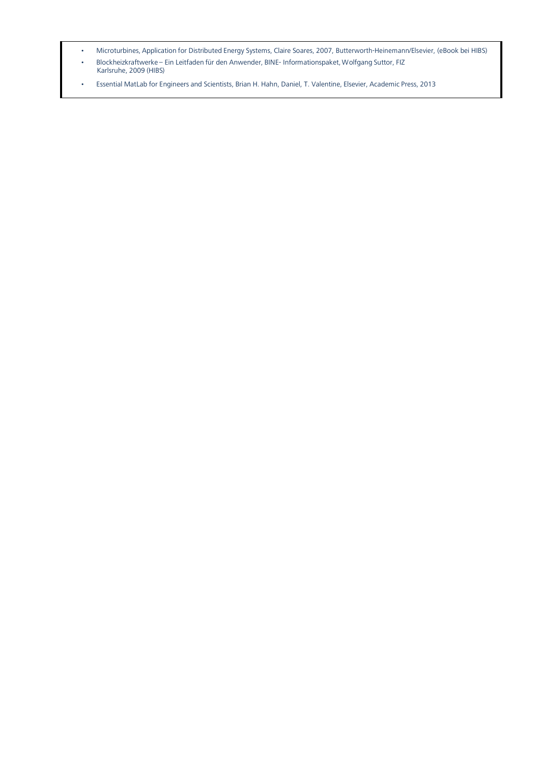- 
- $\sim$  Microturbines, Application for Distributed Energy Systems,  $\sim$  Distributed Energy Systems,  $\sim$  Distributed Energy Systems,  $\sim$  $\frac{1}{2}$  Blockheize – Ein Leitfaden für den Anwender, BINE- Informationspaket,  $\frac{1}{2}$  $\mathcal{L}$  and  $\mathcal{L}$  and  $\mathcal{L}$  and  $\mathcal{L}$
- Essential MatLab for Engineers and Scientists, Brian H. Hahn, Daniel, T. Valentine, Elsevier, Academic Press, 2013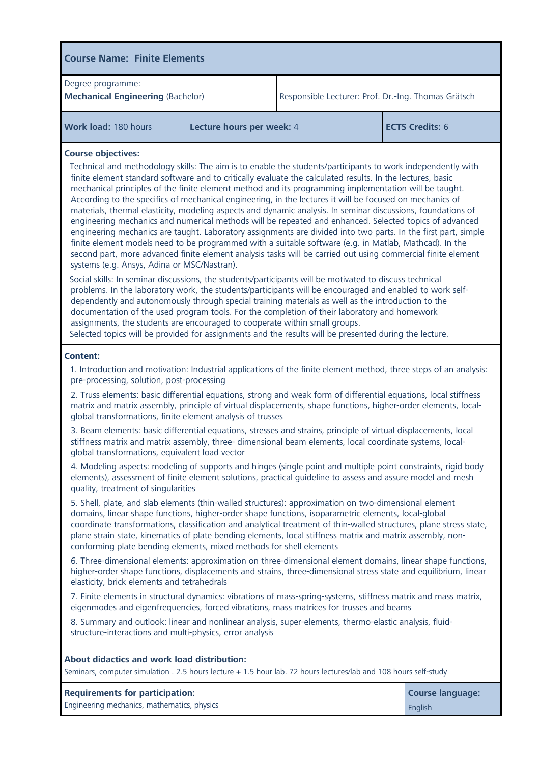| <b>Course Name: Finite Elements</b>                                                                                                                                                                                                                                                                                                                                                                                                                                                                                                                                                                                                                                                                                                                                                                                                                                                                                                                                                                                                                                                                                                                                                                                                                                                                                                                                                                                                                                                                                                                                                                         |                           |                                                     |  |  |
|-------------------------------------------------------------------------------------------------------------------------------------------------------------------------------------------------------------------------------------------------------------------------------------------------------------------------------------------------------------------------------------------------------------------------------------------------------------------------------------------------------------------------------------------------------------------------------------------------------------------------------------------------------------------------------------------------------------------------------------------------------------------------------------------------------------------------------------------------------------------------------------------------------------------------------------------------------------------------------------------------------------------------------------------------------------------------------------------------------------------------------------------------------------------------------------------------------------------------------------------------------------------------------------------------------------------------------------------------------------------------------------------------------------------------------------------------------------------------------------------------------------------------------------------------------------------------------------------------------------|---------------------------|-----------------------------------------------------|--|--|
| Degree programme:<br><b>Mechanical Engineering (Bachelor)</b>                                                                                                                                                                                                                                                                                                                                                                                                                                                                                                                                                                                                                                                                                                                                                                                                                                                                                                                                                                                                                                                                                                                                                                                                                                                                                                                                                                                                                                                                                                                                               |                           | Responsible Lecturer: Prof. Dr.-Ing. Thomas Grätsch |  |  |
| Work load: 180 hours                                                                                                                                                                                                                                                                                                                                                                                                                                                                                                                                                                                                                                                                                                                                                                                                                                                                                                                                                                                                                                                                                                                                                                                                                                                                                                                                                                                                                                                                                                                                                                                        | Lecture hours per week: 4 | <b>ECTS Credits: 6</b>                              |  |  |
| <b>Course objectives:</b><br>Technical and methodology skills: The aim is to enable the students/participants to work independently with<br>finite element standard software and to critically evaluate the calculated results. In the lectures, basic<br>mechanical principles of the finite element method and its programming implementation will be taught.<br>According to the specifics of mechanical engineering, in the lectures it will be focused on mechanics of<br>materials, thermal elasticity, modeling aspects and dynamic analysis. In seminar discussions, foundations of<br>engineering mechanics and numerical methods will be repeated and enhanced. Selected topics of advanced<br>engineering mechanics are taught. Laboratory assignments are divided into two parts. In the first part, simple<br>finite element models need to be programmed with a suitable software (e.g. in Matlab, Mathcad). In the<br>second part, more advanced finite element analysis tasks will be carried out using commercial finite element<br>systems (e.g. Ansys, Adina or MSC/Nastran).<br>Social skills: In seminar discussions, the students/participants will be motivated to discuss technical<br>problems. In the laboratory work, the students/participants will be encouraged and enabled to work self-<br>dependently and autonomously through special training materials as well as the introduction to the<br>documentation of the used program tools. For the completion of their laboratory and homework<br>assignments, the students are encouraged to cooperate within small groups. |                           |                                                     |  |  |
| <b>Content:</b><br>1. Introduction and motivation: Industrial applications of the finite element method, three steps of an analysis:<br>pre-processing, solution, post-processing<br>2. Truss elements: basic differential equations, strong and weak form of differential equations, local stiffness<br>matrix and matrix assembly, principle of virtual displacements, shape functions, higher-order elements, local-<br>global transformations, finite element analysis of trusses<br>3. Beam elements: basic differential equations, stresses and strains, principle of virtual displacements, local<br>stiffness matrix and matrix assembly, three- dimensional beam elements, local coordinate systems, local-                                                                                                                                                                                                                                                                                                                                                                                                                                                                                                                                                                                                                                                                                                                                                                                                                                                                                        |                           |                                                     |  |  |
| global transformations, equivalent load vector<br>4. Modeling aspects: modeling of supports and hinges (single point and multiple point constraints, rigid body<br>elements), assessment of finite element solutions, practical guideline to assess and assure model and mesh<br>quality, treatment of singularities<br>5. Shell, plate, and slab elements (thin-walled structures): approximation on two-dimensional element<br>domains, linear shape functions, higher-order shape functions, isoparametric elements, local-global<br>coordinate transformations, classification and analytical treatment of thin-walled structures, plane stress state,<br>plane strain state, kinematics of plate bending elements, local stiffness matrix and matrix assembly, non-<br>conforming plate bending elements, mixed methods for shell elements<br>6. Three-dimensional elements: approximation on three-dimensional element domains, linear shape functions,<br>higher-order shape functions, displacements and strains, three-dimensional stress state and equilibrium, linear<br>elasticity, brick elements and tetrahedrals<br>7. Finite elements in structural dynamics: vibrations of mass-spring-systems, stiffness matrix and mass matrix,<br>eigenmodes and eigenfrequencies, forced vibrations, mass matrices for trusses and beams<br>8. Summary and outlook: linear and nonlinear analysis, super-elements, thermo-elastic analysis, fluid-<br>structure-interactions and multi-physics, error analysis                                                                                         |                           |                                                     |  |  |
| About didactics and work load distribution:<br>Seminars, computer simulation . 2.5 hours lecture + 1.5 hour lab. 72 hours lectures/lab and 108 hours self-study                                                                                                                                                                                                                                                                                                                                                                                                                                                                                                                                                                                                                                                                                                                                                                                                                                                                                                                                                                                                                                                                                                                                                                                                                                                                                                                                                                                                                                             |                           |                                                     |  |  |
| <b>Requirements for participation:</b><br><b>Course language:</b><br>Engineering mechanics, mathematics, physics<br>English                                                                                                                                                                                                                                                                                                                                                                                                                                                                                                                                                                                                                                                                                                                                                                                                                                                                                                                                                                                                                                                                                                                                                                                                                                                                                                                                                                                                                                                                                 |                           |                                                     |  |  |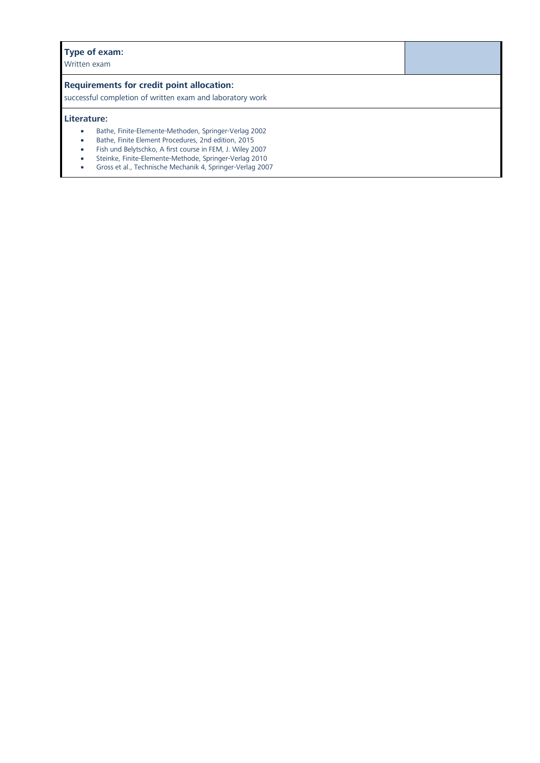**Type of the set of the set of the set of the set of the set of the set of the set of the set of the set of the set of the set of the set of the set of the set of the set of the set of the set of the set of the set of the** Written exam

**Requirements for credit point allocation:** successful completion of written exam and laboratory work

- **Literature:**<br> **Literature:** Bathe, Finite-Elemente-Methoden, Springer-Verlag 2002<br> **Literature:** 2nd edition. 2015
	- Bathe, Finite Element Procedures, 2nd edition, 2015<br>Eish und Bolytschko, A first course in EEM, J. Wilov 2
	- Fish und Belytschko, A first course in FEM, J. Wiley 2007
	-
	- Steinke, Finite-Elemente-Methode, Springer-Verlag 2010 Gross et al., Technische Mechanik 4, Springer-Verlag 2007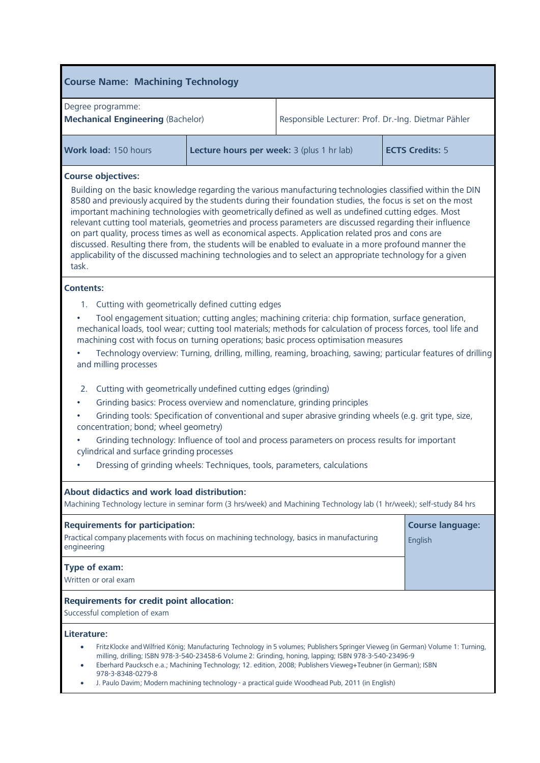| <b>Course Name: Machining Technology</b>                                                                                                                                                                                                                                                                                                                                                                                                                                                                                                                                                                                                                                                                                                                                                                                                                                                                           |  |                                                                     |                                    |  |
|--------------------------------------------------------------------------------------------------------------------------------------------------------------------------------------------------------------------------------------------------------------------------------------------------------------------------------------------------------------------------------------------------------------------------------------------------------------------------------------------------------------------------------------------------------------------------------------------------------------------------------------------------------------------------------------------------------------------------------------------------------------------------------------------------------------------------------------------------------------------------------------------------------------------|--|---------------------------------------------------------------------|------------------------------------|--|
| Degree programme:<br><b>Mechanical Engineering (Bachelor)</b>                                                                                                                                                                                                                                                                                                                                                                                                                                                                                                                                                                                                                                                                                                                                                                                                                                                      |  | Responsible Lecturer: Prof. Dr.-Ing. Dietmar Pähler                 |                                    |  |
| Work load: 150 hours                                                                                                                                                                                                                                                                                                                                                                                                                                                                                                                                                                                                                                                                                                                                                                                                                                                                                               |  | Lecture hours per week: 3 (plus 1 hr lab)<br><b>ECTS Credits: 5</b> |                                    |  |
| <b>Course objectives:</b><br>Building on the basic knowledge regarding the various manufacturing technologies classified within the DIN<br>8580 and previously acquired by the students during their foundation studies, the focus is set on the most<br>important machining technologies with geometrically defined as well as undefined cutting edges. Most<br>relevant cutting tool materials, geometries and process parameters are discussed regarding their influence<br>on part quality, process times as well as economical aspects. Application related pros and cons are<br>discussed. Resulting there from, the students will be enabled to evaluate in a more profound manner the<br>applicability of the discussed machining technologies and to select an appropriate technology for a given<br>task.                                                                                                |  |                                                                     |                                    |  |
| <b>Contents:</b>                                                                                                                                                                                                                                                                                                                                                                                                                                                                                                                                                                                                                                                                                                                                                                                                                                                                                                   |  |                                                                     |                                    |  |
| 1. Cutting with geometrically defined cutting edges<br>Tool engagement situation; cutting angles; machining criteria: chip formation, surface generation,<br>mechanical loads, tool wear; cutting tool materials; methods for calculation of process forces, tool life and<br>machining cost with focus on turning operations; basic process optimisation measures<br>Technology overview: Turning, drilling, milling, reaming, broaching, sawing; particular features of drilling<br>and milling processes<br>Cutting with geometrically undefined cutting edges (grinding)<br>2.<br>Grinding basics: Process overview and nomenclature, grinding principles<br>Grinding tools: Specification of conventional and super abrasive grinding wheels (e.g. grit type, size,<br>concentration; bond; wheel geometry)<br>Grinding technology: Influence of tool and process parameters on process results for important |  |                                                                     |                                    |  |
| cylindrical and surface grinding processes<br>Dressing of grinding wheels: Techniques, tools, parameters, calculations                                                                                                                                                                                                                                                                                                                                                                                                                                                                                                                                                                                                                                                                                                                                                                                             |  |                                                                     |                                    |  |
| About didactics and work load distribution:<br>Machining Technology lecture in seminar form (3 hrs/week) and Machining Technology lab (1 hr/week); self-study 84 hrs                                                                                                                                                                                                                                                                                                                                                                                                                                                                                                                                                                                                                                                                                                                                               |  |                                                                     |                                    |  |
| <b>Requirements for participation:</b><br>Practical company placements with focus on machining technology, basics in manufacturing<br>engineering                                                                                                                                                                                                                                                                                                                                                                                                                                                                                                                                                                                                                                                                                                                                                                  |  |                                                                     | <b>Course language:</b><br>English |  |
| Type of exam:<br>Written or oral exam                                                                                                                                                                                                                                                                                                                                                                                                                                                                                                                                                                                                                                                                                                                                                                                                                                                                              |  |                                                                     |                                    |  |
| <b>Requirements for credit point allocation:</b><br>Successful completion of exam                                                                                                                                                                                                                                                                                                                                                                                                                                                                                                                                                                                                                                                                                                                                                                                                                                  |  |                                                                     |                                    |  |
| Literature:<br>Fritz Klocke and Wilfried König; Manufacturing Technology in 5 volumes; Publishers Springer Vieweg (in German) Volume 1: Turning,<br>milling, drilling; ISBN 978-3-540-23458-6 Volume 2: Grinding, honing, lapping; ISBN 978-3-540-23496-9<br>Eberhard Paucksch e.a.; Machining Technology; 12. edition, 2008; Publishers Vieweg+Teubner (in German); ISBN<br>978-3-8348-0279-8<br>J. Paulo Davim; Modern machining technology - a practical guide Woodhead Pub, 2011 (in English)                                                                                                                                                                                                                                                                                                                                                                                                                  |  |                                                                     |                                    |  |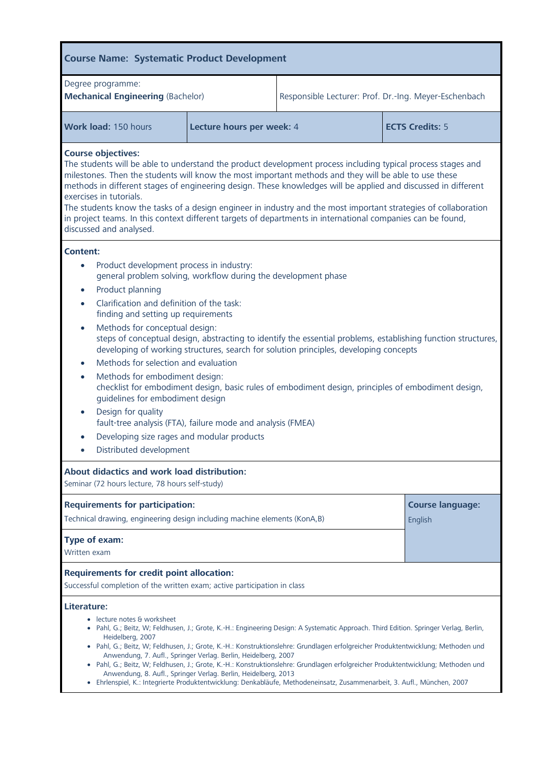| <b>Course Name: Systematic Product Development</b>                                                                                                                                                                                                                                                                                                                                                                                                                                                                                                                                                                                                                                                                                                                                                                                                                                                          |                           |                                                       |                                    |  |
|-------------------------------------------------------------------------------------------------------------------------------------------------------------------------------------------------------------------------------------------------------------------------------------------------------------------------------------------------------------------------------------------------------------------------------------------------------------------------------------------------------------------------------------------------------------------------------------------------------------------------------------------------------------------------------------------------------------------------------------------------------------------------------------------------------------------------------------------------------------------------------------------------------------|---------------------------|-------------------------------------------------------|------------------------------------|--|
| Degree programme:<br><b>Mechanical Engineering (Bachelor)</b>                                                                                                                                                                                                                                                                                                                                                                                                                                                                                                                                                                                                                                                                                                                                                                                                                                               |                           | Responsible Lecturer: Prof. Dr.-Ing. Meyer-Eschenbach |                                    |  |
| Work load: 150 hours                                                                                                                                                                                                                                                                                                                                                                                                                                                                                                                                                                                                                                                                                                                                                                                                                                                                                        | Lecture hours per week: 4 | <b>ECTS Credits: 5</b>                                |                                    |  |
| <b>Course objectives:</b><br>The students will be able to understand the product development process including typical process stages and<br>milestones. Then the students will know the most important methods and they will be able to use these<br>methods in different stages of engineering design. These knowledges will be applied and discussed in different<br>exercises in tutorials.<br>The students know the tasks of a design engineer in industry and the most important strategies of collaboration<br>in project teams. In this context different targets of departments in international companies can be found,<br>discussed and analysed.                                                                                                                                                                                                                                                |                           |                                                       |                                    |  |
| <b>Content:</b><br>Product development process in industry:<br>general problem solving, workflow during the development phase<br>Product planning<br>$\bullet$<br>Clarification and definition of the task:<br>finding and setting up requirements<br>Methods for conceptual design:<br>$\bullet$<br>steps of conceptual design, abstracting to identify the essential problems, establishing function structures,<br>developing of working structures, search for solution principles, developing concepts<br>Methods for selection and evaluation<br>Methods for embodiment design:<br>$\bullet$<br>checklist for embodiment design, basic rules of embodiment design, principles of embodiment design,<br>guidelines for embodiment design<br>Design for quality<br>fault-tree analysis (FTA), failure mode and analysis (FMEA)<br>Developing size rages and modular products<br>Distributed development |                           |                                                       |                                    |  |
| About didactics and work load distribution:<br>Seminar (72 hours lecture, 78 hours self-study)                                                                                                                                                                                                                                                                                                                                                                                                                                                                                                                                                                                                                                                                                                                                                                                                              |                           |                                                       |                                    |  |
| <b>Requirements for participation:</b><br>Technical drawing, engineering design including machine elements (KonA,B)                                                                                                                                                                                                                                                                                                                                                                                                                                                                                                                                                                                                                                                                                                                                                                                         |                           |                                                       | <b>Course language:</b><br>English |  |
| Type of exam:<br>Written exam                                                                                                                                                                                                                                                                                                                                                                                                                                                                                                                                                                                                                                                                                                                                                                                                                                                                               |                           |                                                       |                                    |  |
| <b>Requirements for credit point allocation:</b><br>Successful completion of the written exam; active participation in class                                                                                                                                                                                                                                                                                                                                                                                                                                                                                                                                                                                                                                                                                                                                                                                |                           |                                                       |                                    |  |
| Literature:<br>lecture notes & worksheet<br>· Pahl, G.; Beitz, W; Feldhusen, J.; Grote, K.-H.: Engineering Design: A Systematic Approach. Third Edition. Springer Verlag, Berlin,<br>Heidelberg, 2007<br>· Pahl, G.; Beitz, W; Feldhusen, J.; Grote, K.-H.: Konstruktionslehre: Grundlagen erfolgreicher Produktentwicklung; Methoden und<br>Anwendung, 7. Aufl., Springer Verlag. Berlin, Heidelberg, 2007<br>· Pahl, G.; Beitz, W; Feldhusen, J.; Grote, K.-H.: Konstruktionslehre: Grundlagen erfolgreicher Produktentwicklung; Methoden und<br>Anwendung, 8. Aufl., Springer Verlag. Berlin, Heidelberg, 2013<br>· Ehrlenspiel, K.: Integrierte Produktentwicklung: Denkabläufe, Methodeneinsatz, Zusammenarbeit, 3. Aufl., München, 2007                                                                                                                                                               |                           |                                                       |                                    |  |

F